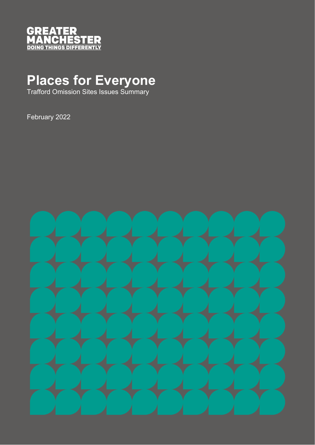

## **Places for Everyone**

Trafford Omission Sites Issues Summary

February 2022

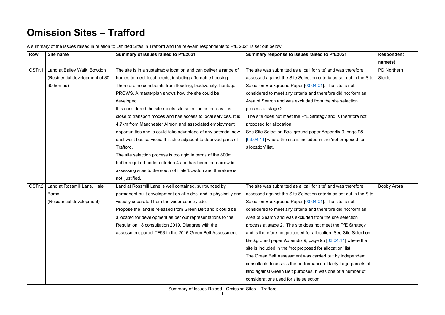## **Omission Sites – Trafford**

A summary of the issues raised in relation to Omitted Sites in Trafford and the relevant respondents to PfE 2021 is set out below:

| <b>Row</b> | Site name                       | Summary of issues raised to PfE2021                              | Summary response to issues raised to PfE2021                        | <b>Respondent</b>  |
|------------|---------------------------------|------------------------------------------------------------------|---------------------------------------------------------------------|--------------------|
|            |                                 |                                                                  |                                                                     | name(s)            |
| OSTr.1     | Land at Bailey Walk, Bowdon     | The site is in a sustainable location and can deliver a range of | The site was submitted as a 'call for site' and was therefore       | <b>PD Northern</b> |
|            | (Residential development of 80- | homes to meet local needs, including affordable housing.         | assessed against the Site Selection criteria as set out in the Site | <b>Steels</b>      |
|            | 90 homes)                       | There are no constraints from flooding, biodiversity, heritage,  | Selection Background Paper [03.04.01]. The site is not              |                    |
|            |                                 | PROWS. A masterplan shows how the site could be                  | considered to meet any criteria and therefore did not form an       |                    |
|            |                                 | developed.                                                       | Area of Search and was excluded from the site selection             |                    |
|            |                                 | It is considered the site meets site selection criteria as it is | process at stage 2.                                                 |                    |
|            |                                 | close to transport modes and has access to local services. It is | The site does not meet the PfE Strategy and is therefore not        |                    |
|            |                                 | 4.7km from Manchester Airport and associated employment          | proposed for allocation.                                            |                    |
|            |                                 | opportunities and is could take advantage of any potential new   | See Site Selection Background paper Appendix 9, page 95             |                    |
|            |                                 | east west bus services. It is also adjacent to deprived parts of | $[03.04.11]$ where the site is included in the 'not proposed for    |                    |
|            |                                 | Trafford.                                                        | allocation' list.                                                   |                    |
|            |                                 | The site selection process is too rigid in terms of the 800m     |                                                                     |                    |
|            |                                 | buffer required under criterion 4 and has been too narrow in     |                                                                     |                    |
|            |                                 | assessing sites to the south of Hale/Bowdon and therefore is     |                                                                     |                    |
|            |                                 | not justified.                                                   |                                                                     |                    |
| OSTr.2     | Land at Rossmill Lane, Hale     | Land at Rossmill Lane is well contained, surrounded by           | The site was submitted as a 'call for site' and was therefore       | <b>Bobby Arora</b> |
|            | <b>Barns</b>                    | permanent built development on all sides, and is physically and  | assessed against the Site Selection criteria as set out in the Site |                    |
|            | (Residential development)       | visually separated from the wider countryside.                   | Selection Background Paper [03.04.01]. The site is not              |                    |
|            |                                 | Propose the land is released from Green Belt and it could be     | considered to meet any criteria and therefore did not form an       |                    |
|            |                                 | allocated for development as per our representations to the      | Area of Search and was excluded from the site selection             |                    |
|            |                                 | Regulation 18 consultation 2019. Disagree with the               | process at stage 2. The site does not meet the PfE Strategy         |                    |
|            |                                 | assessment parcel TF53 in the 2016 Green Belt Assessment.        | and is therefore not proposed for allocation. See Site Selection    |                    |
|            |                                 |                                                                  | Background paper Appendix 9, page 95 [03.04.11] where the           |                    |
|            |                                 |                                                                  | site is included in the 'not proposed for allocation' list.         |                    |
|            |                                 |                                                                  | The Green Belt Assessment was carried out by independent            |                    |
|            |                                 |                                                                  | consultants to assess the performance of fairly large parcels of    |                    |
|            |                                 |                                                                  | land against Green Belt purposes. It was one of a number of         |                    |
|            |                                 |                                                                  | considerations used for site selection.                             |                    |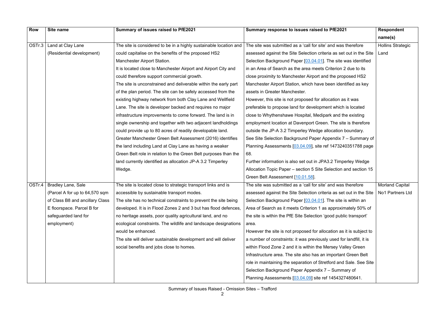| <b>Row</b> | Site name                       | Summary of issues raised to PfE2021                               | Summary response to issues raised to PfE2021                                           | <b>Respondent</b>        |
|------------|---------------------------------|-------------------------------------------------------------------|----------------------------------------------------------------------------------------|--------------------------|
|            |                                 |                                                                   |                                                                                        | name(s)                  |
|            | OSTr.3   Land at Clay Lane      | The site is considered to be in a highly sustainable location and | The site was submitted as a 'call for site' and was therefore                          | <b>Hollins Strategic</b> |
|            | (Residential development)       | could capitalise on the benefits of the proposed HS2              | assessed against the Site Selection criteria as set out in the Site                    | Land                     |
|            |                                 | <b>Manchester Airport Station.</b>                                | Selection Background Paper [03.04.01]. The site was identified                         |                          |
|            |                                 | It is located close to Manchester Airport and Airport City and    | in an Area of Search as the area meets Criterion 2 due to its                          |                          |
|            |                                 | could therefore support commercial growth.                        | close proximity to Manchester Airport and the proposed HS2                             |                          |
|            |                                 | The site is unconstrained and deliverable within the early part   | Manchester Airport Station, which have been identified as key                          |                          |
|            |                                 | of the plan period. The site can be safely accessed from the      | assets in Greater Manchester.                                                          |                          |
|            |                                 | existing highway network from both Clay Lane and Wellfield        | However, this site is not proposed for allocation as it was                            |                          |
|            |                                 | Lane. The site is developer backed and requires no major          | preferable to propose land for development which is located                            |                          |
|            |                                 | infrastructure improvements to come forward. The land is in       | close to Whythenshawe Hospital, Medipark and the existing                              |                          |
|            |                                 | single ownership and together with two adjacent landholdings      | employment location at Davenport Green. The site is therefore                          |                          |
|            |                                 | could provide up to 80 acres of readily developable land.         | outside the JP-A 3.2 Timperley Wedge allocation boundary.                              |                          |
|            |                                 | Greater Manchester Green Belt Assessment (2016) identifies        | See Site Selection Background Paper Appendix 7 – Summary of                            |                          |
|            |                                 | the land including Land at Clay Lane as having a weaker           | Planning Assessments [03.04.09], site ref 1473240351788 page                           |                          |
|            |                                 | Green Belt role in relation to the Green Belt purposes than the   | 68.                                                                                    |                          |
|            |                                 | land currently identified as allocation JP-A 3.2 Timperley        | Further information is also set out in JPA3.2 Timperley Wedge                          |                          |
|            |                                 | Wedge.                                                            | Allocation Topic Paper – section 5 Site Selection and section 15                       |                          |
|            |                                 |                                                                   | Green Belt Assessment [10.01.58].                                                      |                          |
|            | OSTr.4   Bradley Lane, Sale     | The site is located close to strategic transport links and is     | The site was submitted as a 'call for site' and was therefore                          | <b>Morland Capital</b>   |
|            | (Parcel A for up to 64,570 sqm  | accessible by sustainable transport modes.                        | assessed against the Site Selection criteria as set out in the Site   No1 Partners Ltd |                          |
|            | of Class B8 and ancillary Class | The site has no technical constraints to prevent the site being   | Selection Background Paper [03.04.01]. The site is within an                           |                          |
|            | E floorspace. Parcel B for      | developed. It is in Flood Zones 2 and 3 but has flood defences,   | Area of Search as it meets Criterion 1 as approximately 50% of                         |                          |
|            | safeguarded land for            | no heritage assets, poor quality agricultural land, and no        | the site is within the PfE Site Selection 'good public transport'                      |                          |
|            | employment)                     | ecological constraints. The wildlife and landscape designations   | area.                                                                                  |                          |
|            |                                 | would be enhanced.                                                | However the site is not proposed for allocation as it is subject to                    |                          |
|            |                                 | The site will deliver sustainable development and will deliver    | a number of constraints: it was previously used for landfill, it is                    |                          |
|            |                                 | social benefits and jobs close to homes.                          | within Flood Zone 2 and it is within the Mersey Valley Green                           |                          |
|            |                                 |                                                                   | Infrastructure area. The site also has an important Green Belt                         |                          |
|            |                                 |                                                                   | role in maintaining the separation of Stretford and Sale. See Site                     |                          |
|            |                                 |                                                                   | Selection Background Paper Appendix 7 - Summary of                                     |                          |
|            |                                 |                                                                   | Planning Assessments [03.04.09] site ref 1454327480641.                                |                          |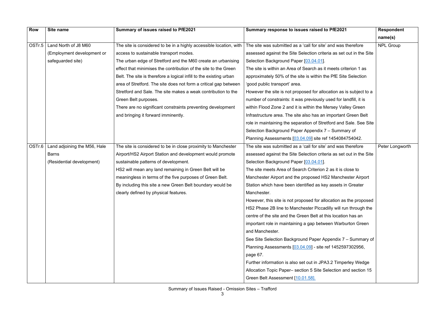| <b>Row</b> | Site name                             | Summary of issues raised to PfE2021                                | Summary response to issues raised to PfE2021                        | <b>Respondent</b> |
|------------|---------------------------------------|--------------------------------------------------------------------|---------------------------------------------------------------------|-------------------|
|            |                                       |                                                                    |                                                                     | name(s)           |
| OSTr.5     | Land North of J8 M60                  | The site is considered to be in a highly accessible location, with | The site was submitted as a 'call for site' and was therefore       | <b>NPL Group</b>  |
|            | (Employment development or            | access to sustainable transport modes.                             | assessed against the Site Selection criteria as set out in the Site |                   |
|            | safeguarded site)                     | The urban edge of Stretford and the M60 create an urbanising       | Selection Background Paper [03.04.01].                              |                   |
|            |                                       | effect that minimises the contribution of the site to the Green    | The site is within an Area of Search as it meets criterion 1 as     |                   |
|            |                                       | Belt. The site is therefore a logical infill to the existing urban | approximately 50% of the site is within the PfE Site Selection      |                   |
|            |                                       | area of Stretford. The site does not form a critical gap between   | 'good public transport' area.                                       |                   |
|            |                                       | Stretford and Sale. The site makes a weak contribution to the      | However the site is not proposed for allocation as is subject to a  |                   |
|            |                                       | Green Belt purposes.                                               | number of constraints: it was previously used for landfill, it is   |                   |
|            |                                       | There are no significant constraints preventing development        | within Flood Zone 2 and it is within the Mersey Valley Green        |                   |
|            |                                       | and bringing it forward imminently.                                | Infrastructure area. The site also has an important Green Belt      |                   |
|            |                                       |                                                                    | role in maintaining the separation of Stretford and Sale. See Site  |                   |
|            |                                       |                                                                    | Selection Background Paper Appendix 7 - Summary of                  |                   |
|            |                                       |                                                                    | Planning Assessments [03.04.09] site ref 1454084754042.             |                   |
|            | OSTr.6   Land adjoining the M56, Hale | The site is considered to be in close proximity to Manchester      | The site was submitted as a 'call for site' and was therefore       | Peter Longworth   |
|            | <b>Barns</b>                          | Airport/HS2 Airport Station and development would promote          | assessed against the Site Selection criteria as set out in the Site |                   |
|            | (Residential development)             | sustainable patterns of development.                               | Selection Background Paper [03.04.01].                              |                   |
|            |                                       | HS2 will mean any land remaining in Green Belt will be             | The site meets Area of Search Criterion 2 as it is close to         |                   |
|            |                                       | meaningless in terms of the five purposes of Green Belt.           | Manchester Airport and the proposed HS2 Manchester Airport          |                   |
|            |                                       | By including this site a new Green Belt boundary would be          | Station which have been identified as key assets in Greater         |                   |
|            |                                       | clearly defined by physical features.                              | Manchester.                                                         |                   |
|            |                                       |                                                                    | However, this site is not proposed for allocation as the proposed   |                   |
|            |                                       |                                                                    | HS2 Phase 2B line to Manchester Piccadilly will run through the     |                   |
|            |                                       |                                                                    | centre of the site and the Green Belt at this location has an       |                   |
|            |                                       |                                                                    | important role in maintaining a gap between Warburton Green         |                   |
|            |                                       |                                                                    | and Manchester.                                                     |                   |
|            |                                       |                                                                    | See Site Selection Background Paper Appendix 7 - Summary of         |                   |
|            |                                       |                                                                    | Planning Assessments [03.04.09] - site ref 1452597302956,           |                   |
|            |                                       |                                                                    | page 67.                                                            |                   |
|            |                                       |                                                                    | Further information is also set out in JPA3.2 Timperley Wedge       |                   |
|            |                                       |                                                                    | Allocation Topic Paper– section 5 Site Selection and section 15     |                   |
|            |                                       |                                                                    | Green Belt Assessment [10.01.58].                                   |                   |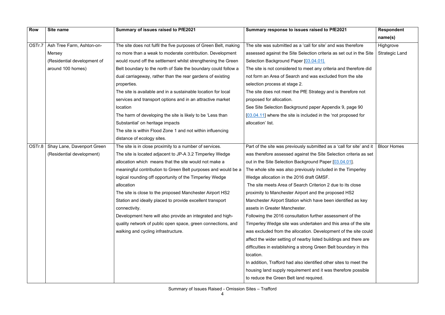| <b>Row</b> | Site name                           | Summary of issues raised to PfE2021                              | Summary response to issues raised to PfE2021                          | <b>Respondent</b>     |
|------------|-------------------------------------|------------------------------------------------------------------|-----------------------------------------------------------------------|-----------------------|
|            |                                     |                                                                  |                                                                       | name(s)               |
| OSTr.7     | Ash Tree Farm, Ashton-on-           | The site does not fulfil the five purposes of Green Belt, making | The site was submitted as a 'call for site' and was therefore         | Highgrove             |
|            | Mersey                              | no more than a weak to moderate contribution. Development        | assessed against the Site Selection criteria as set out in the Site   | <b>Strategic Land</b> |
|            | (Residential development of         | would round off the settlement whilst strengthening the Green    | Selection Background Paper [03.04.01].                                |                       |
|            | around 100 homes)                   | Belt boundary to the north of Sale the boundary could follow a   | The site is not considered to meet any criteria and therefore did     |                       |
|            |                                     | dual carriageway, rather than the rear gardens of existing       | not form an Area of Search and was excluded from the site             |                       |
|            |                                     | properties.                                                      | selection process at stage 2.                                         |                       |
|            |                                     | The site is available and in a sustainable location for local    | The site does not meet the PfE Strategy and is therefore not          |                       |
|            |                                     | services and transport options and in an attractive market       | proposed for allocation.                                              |                       |
|            |                                     | location                                                         | See Site Selection Background paper Appendix 9, page 90               |                       |
|            |                                     | The harm of developing the site is likely to be 'Less than       | [03.04.11] where the site is included in the 'not proposed for        |                       |
|            |                                     | Substantial' on heritage impacts                                 | allocation' list.                                                     |                       |
|            |                                     | The site is within Flood Zone 1 and not within influencing       |                                                                       |                       |
|            |                                     | distance of ecology sites.                                       |                                                                       |                       |
|            | OSTr.8   Shay Lane, Davenport Green | The site is in close proximity to a number of services.          | Part of the site was previously submitted as a 'call for site' and it | <b>Bloor Homes</b>    |
|            | (Residential development)           | The site is located adjacent to JP-A 3.2 Timperley Wedge         | was therefore assessed against the Site Selection criteria as set     |                       |
|            |                                     | allocation which means that the site would not make a            | out in the Site Selection Background Paper [03.04.01].                |                       |
|            |                                     | meaningful contribution to Green Belt purposes and would be a    | The whole site was also previously included in the Timperley          |                       |
|            |                                     | logical rounding off opportunity of the Timperley Wedge          | Wedge allocation in the 2016 draft GMSF.                              |                       |
|            |                                     | allocation                                                       | The site meets Area of Search Criterion 2 due to its close            |                       |
|            |                                     | The site is close to the proposed Manchester Airport HS2         | proximity to Manchester Airport and the proposed HS2                  |                       |
|            |                                     | Station and ideally placed to provide excellent transport        | Manchester Airport Station which have been identified as key          |                       |
|            |                                     | connectivity.                                                    | assets in Greater Manchester.                                         |                       |
|            |                                     | Development here will also provide an integrated and high-       | Following the 2016 consultation further assessment of the             |                       |
|            |                                     | quality network of public open space, green connections, and     | Timperley Wedge site was undertaken and this area of the site         |                       |
|            |                                     | walking and cycling infrastructure.                              | was excluded from the allocation. Development of the site could       |                       |
|            |                                     |                                                                  | affect the wider setting of nearby listed buildings and there are     |                       |
|            |                                     |                                                                  | difficulties in establishing a strong Green Belt boundary in this     |                       |
|            |                                     |                                                                  | location.                                                             |                       |
|            |                                     |                                                                  | In addition, Trafford had also identified other sites to meet the     |                       |
|            |                                     |                                                                  | housing land supply requirement and it was therefore possible         |                       |
|            |                                     |                                                                  | to reduce the Green Belt land required.                               |                       |